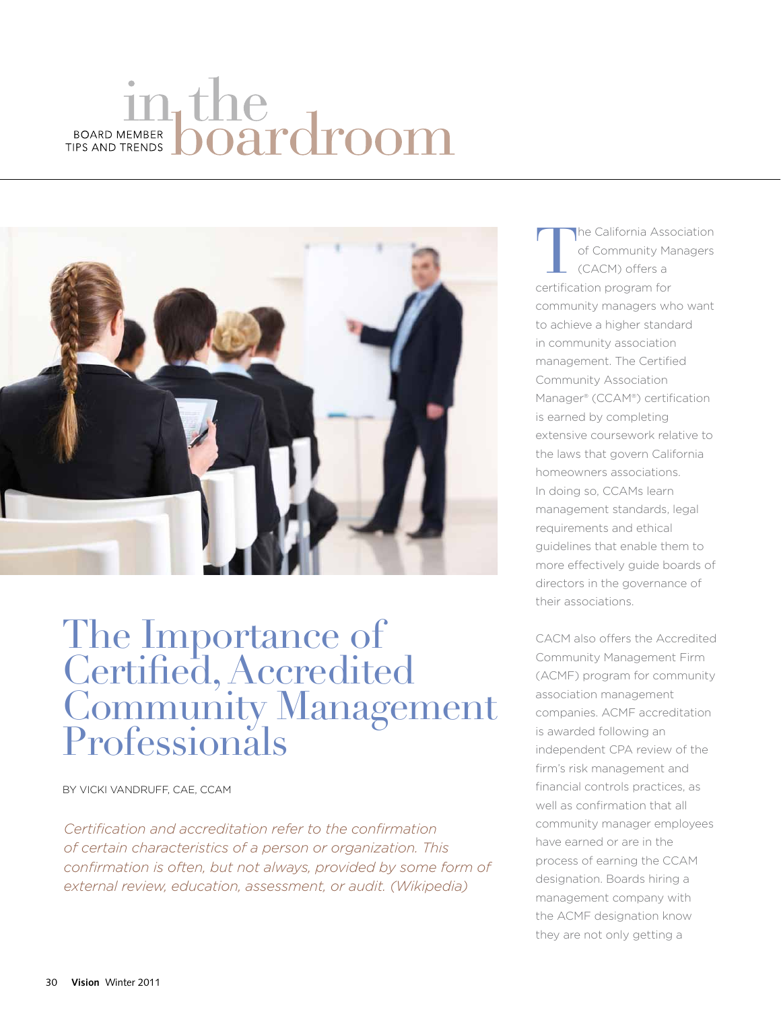## in the density of the service of the service of the service of the service of the service of the service of the service of the service of the service of the service of the service of the service of the service of the servi **BOARD MEMBER** TIPS AND TRENDS



## The Importance of<br>Certified, Accredited Community Management Professionals

By Vicki Vandruff, CAE, CCAM

*Certification and accreditation refer to the confirmation of certain characteristics of a person or organization. This confirmation is often, but not always, provided by some form of external review, education, assessment, or audit. (Wikipedia)*

The California Association of Community Managers (CACM) offers a certification program for community managers who want to achieve a higher standard in community association management. The Certified Community Association Manager® (CCAM®) certification is earned by completing extensive coursework relative to the laws that govern California homeowners associations. In doing so, CCAMs learn management standards, legal requirements and ethical guidelines that enable them to more effectively guide boards of directors in the governance of their associations.

CACM also offers the Accredited Community Management Firm (ACMF) program for community association management companies. ACMF accreditation is awarded following an independent CPA review of the firm's risk management and financial controls practices, as well as confirmation that all community manager employees have earned or are in the process of earning the CCAM designation. Boards hiring a management company with the ACMF designation know they are not only getting a